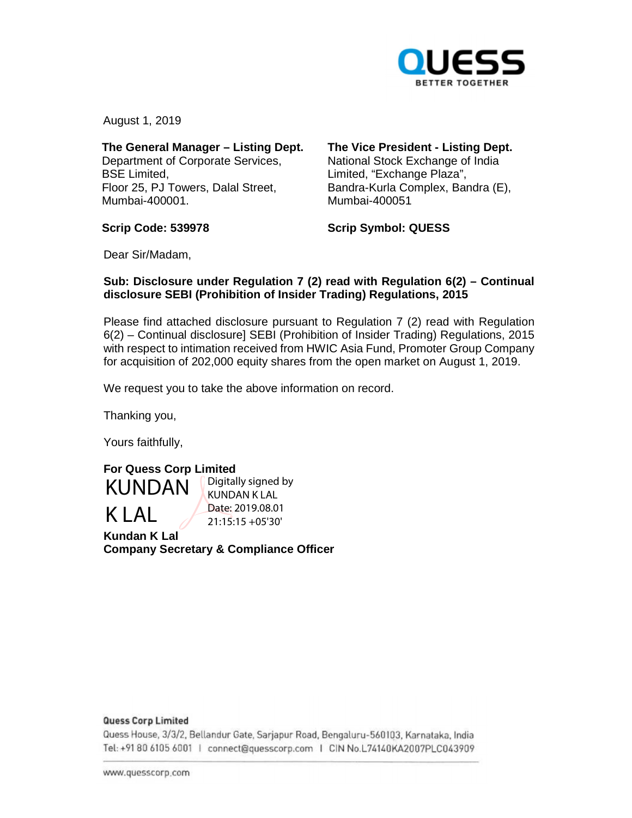

August 1, 2019

## **The General Manager – Listing Dept.**

Department of Corporate Services, BSE Limited, Floor 25, PJ Towers, Dalal Street, Mumbai-400001.

# **The Vice President - Listing Dept.**

National Stock Exchange of India Limited, "Exchange Plaza", Bandra-Kurla Complex, Bandra (E), Mumbai-400051

**Scrip Code: 539978** 

**Scrip Symbol: QUESS** 

Dear Sir/Madam,

## **Sub: Disclosure under Regulation 7 (2) read with Regulation 6(2) – Continual disclosure SEBI (Prohibition of Insider Trading) Regulations, 2015**

Please find attached disclosure pursuant to Regulation 7 (2) read with Regulation 6(2) – Continual disclosure] SEBI (Prohibition of Insider Trading) Regulations, 2015 with respect to intimation received from HWIC Asia Fund, Promoter Group Company for acquisition of 202,000 equity shares from the open market on August 1, 2019.

We request you to take the above information on record.

Thanking you,

Yours faithfully,



Digitally signed by KUNDAN K LAL Date: 2019.08.01 21:15:15 +05'30'

**Kundan K Lal Company Secretary & Compliance Officer** 

### **Quess Corp Limited**

Quess House, 3/3/2, Bellandur Gate, Sarjapur Road, Bengaluru-560103, Karnataka, India om <sup>0</sup>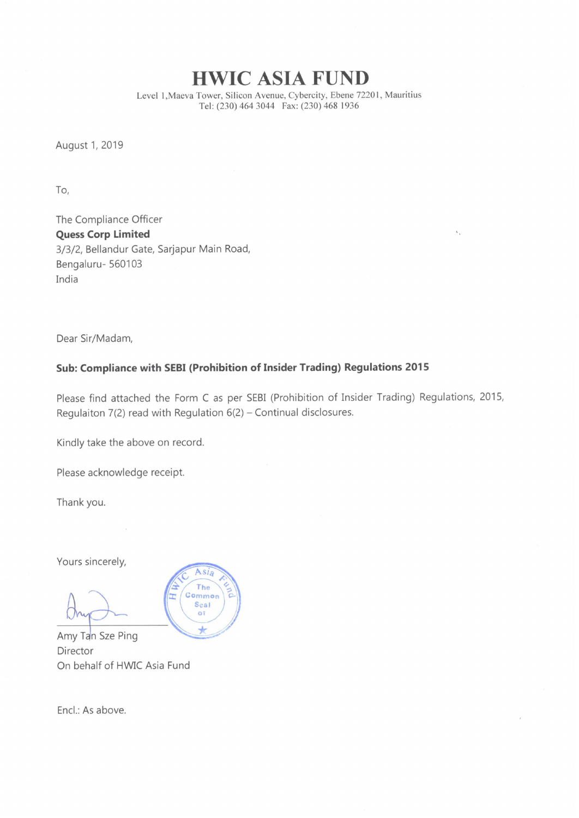HWIC ASIA FUND

Level 1, Maeva Tower, Silicon Avenue, Cybercity, Ebene 72201, Mauritius Tel: (230) 464 3044 Fax: (230) 468 1936

 $\mathcal{N}_{\mathcal{A}}$ 

August 1, 2019

To,

The Compliance Officer Quess Corp Limited 3/3/2, Bellandur Gate, Sarjapur Main Road, Bengaluru- 560103 India

Dear Sir/Madam,

## Sub: Compliance with SEBI (Prohibition of Insider Trading) Regulations <sup>2015</sup>

 $Asi<sub>a</sub>$ The Common Seal  $\overline{01}$ ub.

Please find attached the Form <sup>C</sup> as per SEBI (Prohibition of Insider Trading) Regulations, 2015, Regulaiton  $7(2)$  read with Regulation  $6(2)$  – Continual disclosures.

Kindly take the above on record.

Please acknowledge receipt.

Thank you.

Yours sincerely,

Amy Tan Sze Ping Director On behalf of HWIC Asia Fund

Encl.: As above.